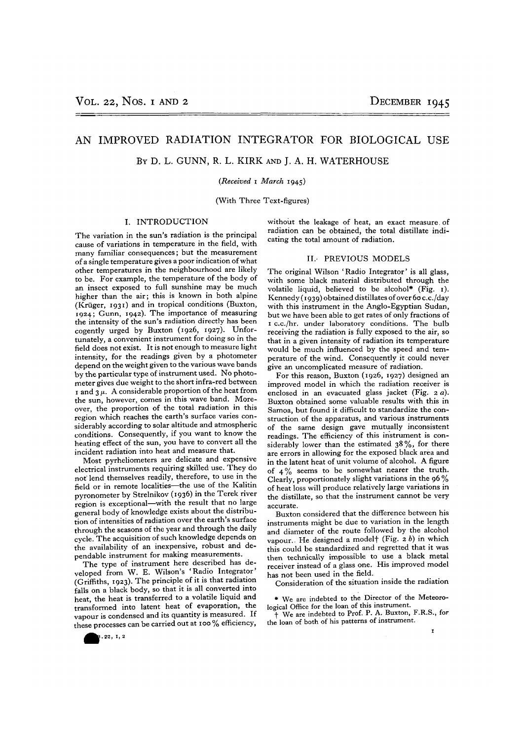# AN IMPROVED RADIATION INTEGRATOR FOR BIOLOGICAL USE

BY D. L. GUNN, R. L. KIRK AND J. A. H. WATERHOUSE

## *(Received* i *March* 1945)

(With Three Text-figures)

### I. INTRODUCTION

The variation in the sun's radiation is the principal cause of variations in temperature in the field, with many familiar consequences; but the measurement of a single temperature gives a poor indication of what other temperatures in the neighbourhood are likely to be. For example, the temperature of the body of an insect exposed to full sunshine may be much higher than the air; this is known in both alpine (Kriiger, 1931) and in tropical conditions (Buxton, 1924; Gunn, 1942). The importance of measuring the intensity of the sun's radiation directly has been cogently urged by Buxton (1926, 1927). Unfor- tunately, a convenient instrument for doing so in the field does not exist. It is not enough to measure light intensity, for the readings given by a photometer depend on the weight given to the various wave bands by the particular type of instrument used. No photo- meter gives due weight to the short infra-red between 1 and  $3 \mu$ . A considerable proportion of the heat from the sun, however, comes in this wave band. More-<br>over, the proportion of the total radiation in this region which reaches the earth's surface varies considerably according to solar altitude and atmospheric<br>conditions. Consequently, if you want to know the conditions. Consequently, if you want to know the heating effect of the sun, you have to convert

incident radiation into heat and measure that.<br>Most pyrheliometers are delicate and expensive electrical instruments requiring skilled use. They do not' lend themselves readily, therefore, to use in the field or in remote localities—the use of the Kalitin pyronometer by Strelnikov (1936) in the Terek river region is exceptional—with the result that no large general body of knowledge exists about the distribu- tion of intensities of radiation over the earth's surface through the seasons of the year and through the daily cycle. The acquisition of such knowledge depends on the availability of an inexpensive, robust and de- pendable instrument for making measurements.

The type of instrument here described has developed from W. E. Wilson's 'Radio Integrator' (Griffiths, 1923). The principle of it is that radiation (Griffiths, 1923). The principle of it is that radiation<br>falls on a black body, so that it is all converted into heat, the heat is transferred to a volatile liquid and transformed into latent heat of evaporation, the vapour is condensed and its quantity is measured. If these processes can be carried out at 100 % efficiency,

without the leakage of heat, an exact measure, of radiation can be obtained, the total distillate indi- cating the total amount of radiation.

## II.' PREVIOUS MODELS

The original Wilson 'Radio Integrator' is all glass, with some black material distributed through the volatile liquid, believed to be alcohol\* (Fig.  $r$ ). Kennedy (1939) obtained distillates of over 60 c.c./day with this instrument in the Anglo-Egyptian Sudan, but we have been able to get rates of only fractions of 1 c.c./hr. under laboratory conditions. The bulb receiving the radiation is fully exposed to the air, so that in a given intensity of radiation its temperature perature of the wind. Consequently it could never

give an uncomplicated measure of radiation. For this reason, Buxton (1926, 1927) designed an improved model in which the radiation receiver is enclosed in an evacuated glass jacket (Fig. 2 *a).* Buxton obtained some valuable results with this in struction of the apparatus, and various instruments of the same design gave mutually inconsistent<br>readings. The efficiency of this instrument is considerably lower than the estimated  $38\%$ , for there are errors in allowing for the exposed black area and in the latent heat of unit volume of alcohol. A figure of  $4\%$  seems to be somewhat nearer the truth. Clearly, proportionately slight variations in the 96 % of heat loss will produce relatively large variations in the distillate, so that the instrument cannot be very

accurate. Buxton considered that the difference between his instruments might be due to variation in the length and diameter of the route followed by the alcohol vapour. He designed a modelf (Fig. 2 *b)* in which this could be standardized and regretted that it was then technically impossible to use a black metal receiver instead of a glass one. His improved model has not been used in the field.

Consideration of the situation inside the radiation

\* We are indebted to the Director of the Meteoro- logical Office for the loan of this instrument. f We are indebted to Prof. P. A. Buxton, F.R.S., for

the loan of both of his patterns of instrument.

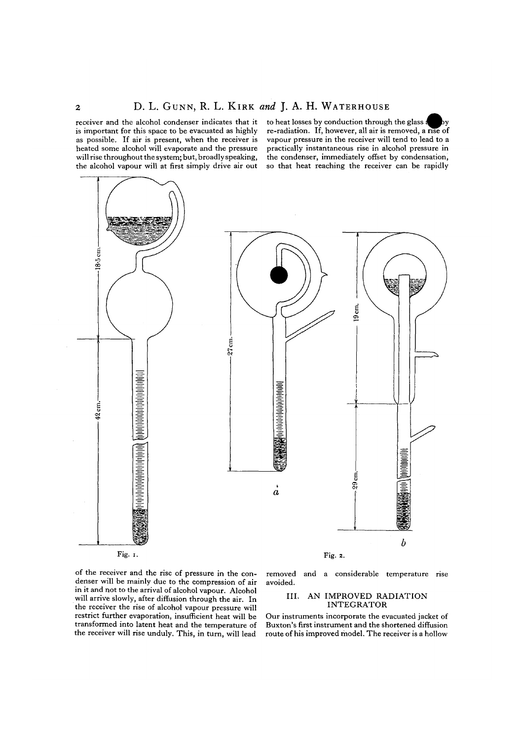receiver and the alcohol condenser indicates that it is important for this space to be evacuated as highly as possible. If air is present, when the receiver is heated some alcohol will evaporate and the pressure will rise throughout the system; but, broadly speaking, the alcohol vapour will at first simply drive air out to heat losses by conduction through the glass a re-radiation. If, however, all air is removed, a rise of vapour pressure in the receiver will tend to lead to a practically instantaneous rise in alcohol pressure in the condenser, immediately offset by condensation, so that heat reaching the receiver can be rapidly



of the receiver and the rise of pressure in the con- denser will be mainly due to the compression of air in it and not to the arrival of alcohol vapour. Alcohol will arrive slowly, after diffusion through the air. In the receiver the rise of alcohol vapour pressure will restrict further evaporation, insufficient heat will be transformed into latent heat and the temperature of the receiver will rise unduly. This, in turn, will lead

removed and a considerable temperature rise avoided.

# III. AN IMPROVED RADIATION INTEGRATOR

Our instruments incorporate the evacuated jacket of Buxton's first instrument and the shortened diffusion route of his improved model. The receiver is a hollow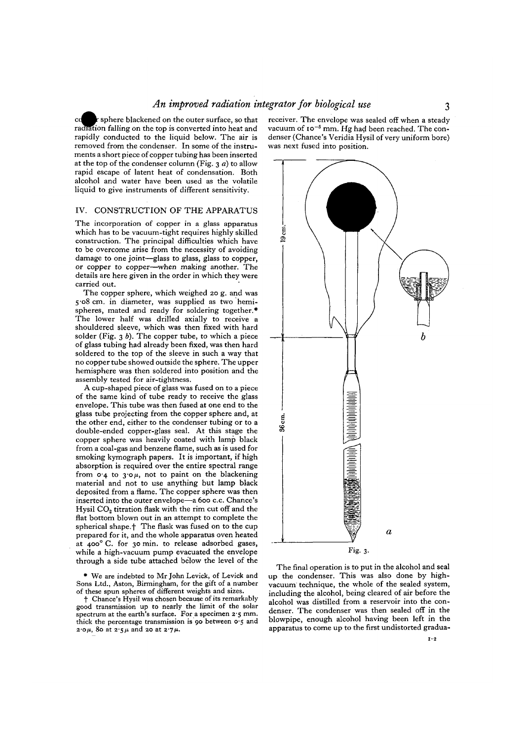r sphere blackened on the outer surface, so that cd radiation falling on the top is converted into heat and rapidly conducted to the liquid below. The air is removed from the condenser. In some of the instruments a short piece of copper tubing has been inserted at the top of the condenser column (Fig. 3 *a)* to allow rapid escape of latent heat of condensation. Both alcohol and water have been used as the volatile liquid to give instruments of different sensitivity.

# IV. CONSTRUCTION OF THE APPARATUS

The incorporation of copper in a glass apparatus which has to be vacuum-tight requires highly skilled construction. The principal difficulties which have to be overcome arise from the necessity of avoiding damage to one joint—glass to glass, glass to copper, or copper to copper—when making another. The details are here given in the order in which they were carried out.

The copper sphere, which weighed 20 g. and was 5-08 cm. in diameter, was supplied as two hemi- spheres, mated and ready for soldering together.\* The lower half was drilled axially to receive a shouldered sleeve, which was then fixed with hard solder (Fig.  $3 b$ ). The copper tube, to which a piece of glass tubing had already been fixed, was then hard soldered to the top of the sleeve in such a way that no copper tube showed outside the sphere. The upper hemisphere was then soldered into position and the assembly tested for air-tightness.

A cup-shaped piece of glass was fused on to a piece of the same kind of tube ready to receive the glass envelope. This tube was then fused at one end to the glass tube projecting from the copper sphere and, at the other end, either to the condenser tubing or to a double-ended copper-glass seal. At this stage the copper sphere was heavily coated with lamp black from a coal-gas and benzene flame, such as is used for smoking kymograph papers. It is important, if high absorption is required over the entire spectral range absorption is required over the entire spectral range.<br>from  $\sigma \cdot \mathbf{A}$  to  $\mathbf{a} \cdot \mathbf{b}$  and to paint on the blackening material and not to use anything but lamp black deposited from a flame. The copper sphere was then inserted into the outer envelope—a 600 c.c. Chance's Hysil CO<sub>2</sub> titration flask with the rim cut off and the flat bottom blown out in an attempt to complete the spherical shape.<sup>†</sup> The flask was fused on to the cup prepared for it, and the whole apparatus oven heated at 400° C. for 30 min. to release adsorbed gases, while a high-vacuum pump evacuated the envelope through a side tube attached below the level of the

\* We are indebted to Mr John Levick, of Levick and Sons Ltd., Aston, Birmingham, for the gift of a number

 $\dagger$  Chance's Hysil was chosen because of its remarkably good transmission up to nearly the limit of the solar spectrum at the earth's surface. For a specimen  $2.5$  mm. thick the percentage transmission is 90 between  $0.5$  and  $2.0\mu$ , 80 at  $2.5\mu$  and 20 at  $2.7\mu$ .

receiver. The envelope was sealed off when a steady vacuum of  $i \circ^{-5}$  mm. Hg had been reached. The condenser (Chance's Veridia Hysil of very uniform bore) was next fused into position.



The final operation is to put in the alcohol and seal up the condenser. This was also done by highvacuum technique, the whole of the sealed system, including the alcohol, being cleared of air before the alcohol was distilled from a reservoir into the con- denser. The condenser was then sealed off in the blowpipe, enough alcohol having been left in the apparatus to come up to the first undistorted gradua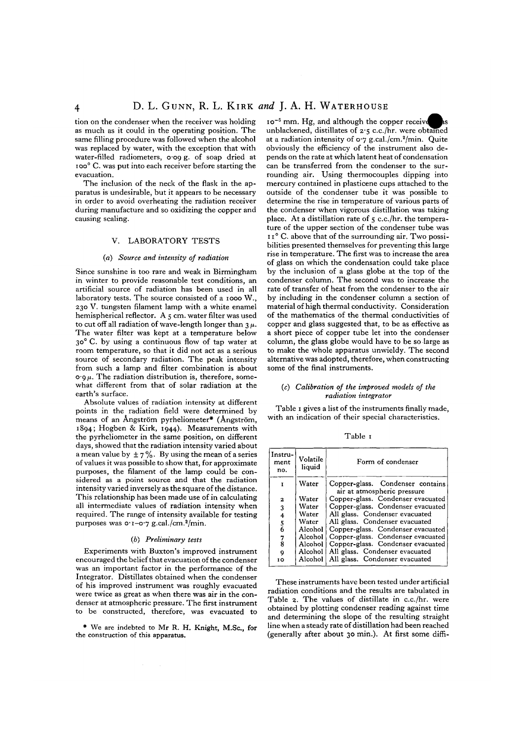tion on the condenser when the receiver was holding as much as it could in the operating position. The same filling procedure was followed when the alcohol was replaced by water, with the exception that with water-filled radiometers, 0-09 g. of soap dried at ioo° C. was put into each receiver before starting the evacuation.

The inclusion of the neck of the flask in the ap-<br>paratus is undesirable, but it appears to be necessary in order to avoid overheating the radiation receiver during manufacture and so oxidizing the copper and causing scaling.

# V. LABORATORY TESTS

# (a) *Source and intensity of radiation*

Since sunshine is too rare and weak in Birmingham in winter to provide reasonable test conditions, an artificial source of radiation has been used in all laboratory tests. The source consisted of a 1000 W., 230 V. tungsten filament lamp with a white enamel hemispherical reflector. A 5 cm. water filter was used to cut off all radiation of wave-length longer than  $3 \mu$ .<br>The water filter was kept at a temperature below 30<sup>°</sup> C. by using a continuous flow of tap water at room temperature, so that it did not act as a serious source of secondary radiation. The peak intensity from such a lamp and filter combination is about  $\cos \mu$ . The radiation distribution is, therefore, some-<br>what different from that of solar radiation at the earth's surface.

Absolute values of radiation intensity at different points in the radiation field were determined by means of an Angström pyrheliometer\* (Angström, 1894; Hogben & Kirk, 1944). Measurements with the pyrheliometer in the same position, on different days, showed that the radiation intensity varied about a mean value by  $\pm 7\%$ . By using the mean of a series of values it was possible to show that, for approximate purposes, the filament of the lamp could be con-<br>sidered as a point source and that the radiation<br>intensity varied inversely as the square of the distance. This relationship has been made use of in calculating. all intermediate values of radiation intensity when required. The range of intensity available for testing purposes was 0.1-0.7 g.cal./cm.<sup>2</sup>/min.

#### *(b) Preliminary tests*

Experiments with Buxton's improved instrument encouraged the belief that evacuation of the condenser was an important factor in the performance of the Integrator. Distillates obtained when the condenser of his improved instrument was roughly evacuated were twice as great as when there was air in the con- denser at atmospheric pressure. The first instrument to be constructed, therefore, was evacuated to

\* We are indebted to Mr R. H. Knight, M.Sc, for the construction of this apparatus.

10<sup>-5</sup> mm. Hg, and although the copper receive unblackened, distillates of 2-5 c.c./hr. were obtained at a radiation intensity of 0.7 g.cal./cm.<sup>2</sup>/min. Quite obviously the efficiency of the instrument also de- pends on the rate at which latent heat of condensation can be transferred from the condenser to the sur- rounding air. Using thermocouples dipping into mercury contained in plasticene cups attached to the outside of the condenser tube it was possible to determine the rise in temperature of various parts of the condenser when vigorous distillation was taking place. At a distillation rate of 5 c.c./hr. the tempera- ture of the upper section of the condenser tube was 11° C. above that of the surrounding air. Two possi- bilities presented themselves for preventing this large rise in temperature. The first was to increase the area of glass on which the condensation could take place by the inclusion of a glass globe at the top of the condenser column. The second was to increase the rate of transfer of heat from the condenser to the air by including in the condenser column a section of material of high thermal conductivity. Consideration of the mathematics of the thermal conductivities of copper and glass suggested that, to be as effective as a short piece of copper tube let into the condenser column, the glass globe would have to be so large as to make the whole apparatus unwieldy. The second alternative was adopted, therefore, when constructing some of the final instruments.

### *(c) Calibration of the improved models of the radiation integrator*

Table 1 gives a list of the instruments finally made, with an indication of their special characteristics.

Table 1

| Instru-†<br>ment<br>no. | Volatile<br>liquid | Form of condenser                                               |  |  |  |  |  |
|-------------------------|--------------------|-----------------------------------------------------------------|--|--|--|--|--|
|                         | Water              | Copper-glass. Condenser contains<br>air at atmospheric pressure |  |  |  |  |  |
| $\mathbf{z}$            | Water              | Copper-glass. Condenser evacuated                               |  |  |  |  |  |
| $\overline{3}$          | Water              | Copper-glass. Condenser evacuated                               |  |  |  |  |  |
| 4                       | Water              | All glass. Condenser evacuated                                  |  |  |  |  |  |
| $\frac{5}{6}$           | Water              | All glass. Condenser evacuated                                  |  |  |  |  |  |
|                         | Alcohol            | Copper-glass. Condenser evacuated                               |  |  |  |  |  |
| $\frac{7}{8}$           | Alcohol            | Copper-glass. Condenser evacuated                               |  |  |  |  |  |
|                         | Alcohol            | Copper-glass. Condenser evacuated                               |  |  |  |  |  |
| Q                       | Alcohol            | All glass. Condenser evacuated                                  |  |  |  |  |  |
| ī٥                      |                    | Alcohol   All glass. Condenser evacuated                        |  |  |  |  |  |

These instruments have been tested under artificial radiation conditions and the results are tabulated in Table 2. The values of distillate in c.c./hr. were obtained by plotting condenser reading against time and determining the slope of the resulting straight line when a steady rate of distillation had been reached (generally after about 30 min.). At first some diffi-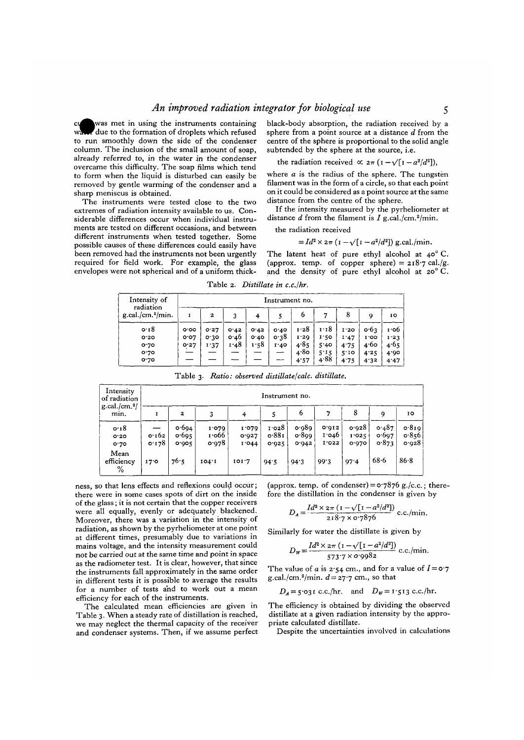# *An improved radiation integrator for biological use*

was met in using the instruments containing due to the formation of droplets which refused to run smoothly down the side of the condenser column. The inclusion of the small amount of soap, already referred to, in the water in the condenser overcame this difficulty. The soap films which tend to form when the liquid is disturbed can easily be removed by gentle warming of the condenser and a sharp meniscus is obtained.

The instruments were tested close to the two extremes of radiation intensity available to us. Considerable differences occur when individual instruments are tested on different occasions, and between different instruments when tested together. Some possible causes of these differences could easily have been removed had the instruments not been urgently required for field work. For example, the glass envelopes were not spherical and of a uniform thickblack-body absorption, the radiation received by a sphere from a point source at a distance *d* from the centre of the sphere is proportional to the solid angle subtended by the sphere at the source, i.e.

the radiation received  $\propto 2\pi \left(1 - \sqrt{[1 - a^2/d^2]}\right)$ ,

where *a* is the radius of the sphere. The tungsten filament was in the form of a circle, so that each point on it could be considered as a point source at the same distance from the centre of the sphere.

If the intensity measured by the pyrheliometer at distance *d* from the filament is *I* g.cal./cm.<sup>2</sup>/min.

the radiation received

$$
= Id^2 \times 2\pi \left(1 - \sqrt{[1 - a^2/d^2]}\right)
$$
g.  
cal./min.

The latent heat of pure ethyl alcohol at  $40^{\circ}$  C. (approx. temp. of copper sphere) =  $218.7$  cal./g. and the density of pure ethyl alcohol at 20° C.

Table 2. *Distillate in c.c./hr.*

| Intensity of<br>radiation | Instrument no. |      |      |      |      |      |      |      |                 |      |
|---------------------------|----------------|------|------|------|------|------|------|------|-----------------|------|
| $g.$ cal./cm. $2$ /min.   | 1              | 2    | 3    | 4    |      | 6    | 7    | 8    | 9               | IO   |
| 0.18                      | o.oo           | 0.27 | 0.42 | 0.42 | 0.40 | 1.28 | 1.18 | I.20 | $\mathbf{0.63}$ | 1.06 |
| 0.20                      | 0.07           | 0.30 | 0.46 | 0.40 | 0.38 | I.20 | 1.50 | 1.47 | 1.00            | 1.23 |
| 0.70                      | 0.27           | 1.37 | 1.48 | 1.58 | T.40 | 4.85 | 5'40 | 4.75 | 4.60            | 4.65 |
| 0.70                      |                |      |      |      | --   | 4.80 | 5.15 | 5.10 | 4.25            | 4.90 |
| 0.70                      |                |      |      |      | ---  | 4.57 | 4.88 | 4.75 | 4.32            | 4.47 |

Table 3. *Ratio* : *observed distillate/calc. distillate.*

| Intensity<br>of radiation            | Instrument no.  |                         |                         |                         |                         |                         |                            |                         |                         |                         |  |
|--------------------------------------|-----------------|-------------------------|-------------------------|-------------------------|-------------------------|-------------------------|----------------------------|-------------------------|-------------------------|-------------------------|--|
| $g$ .cal./cm. <sup>2</sup> /<br>mın. | I               | $\boldsymbol{z}$        | 3                       | 4                       |                         | 6                       | $^{\prime}$                | 8                       | 9                       | 10                      |  |
| 0.18<br>O.2O<br>0.70                 | 0.162<br>0.178  | 0.694<br>0.695<br>0.905 | 1.079<br>1.066<br>0.978 | 1.079<br>0.927<br>1'044 | 1.028<br>0.881<br>0.925 | 0.989<br>0.899<br>0.942 | 0.012<br>1.046<br>$I'$ 022 | 0.928<br>1.025<br>0.970 | 0.487<br>0.697<br>0.873 | 0.819<br>0.856<br>0.928 |  |
| Mean<br>efficiency<br>%              | 17 <sub>0</sub> | 76.5                    | 104.1                   | 101.7                   | 94.5                    | 94.3                    | 99.3                       | 97.4                    | $68 - 6$                | $86 - 8$                |  |

ness, so that lens effects and reflexions could occur; there were in some cases spots of dirt on the inside of the glass; it is not certain that the copper receivers were all equally, evenly or adequately blackened. Moreover, there was a variation in the intensity of radiation, as shown by the pyrheliometer at one point at different times, presumably due to variations in mains voltage, and the intensity measurement could not be carried out at the same time and point in space as the radiometer test. It is clear, however, that since the instruments fall approximately in the same order in different tests it is possible to average the results for a number of tests and to work out a mean efficiency for each of the instruments.

The calculated mean efficiencies are given in Table 3. When a steady rate of distillation is reached, we may neglect the thermal capacity of the receiver and condenser systems. Then, if we assume perfect (approx. temp. of condenser) =  $\sigma$ -7876 g./c.c.; therefore the distillation in the condenser is given by

$$
D_A = \frac{Id^2 \times 2\pi (1 - \sqrt{[1 - a^2/d^2]})}{218.7 \times 0.7876}
$$
 c.c./min.

Similarly for water the distillate is given by

$$
D_{\rm w} = \frac{Id^2 \times 2\pi \left(1 - \sqrt{[1 - a^2/d^2]}\right)}{573.7 \times 0.9982}
$$
 c.c./min.

The value of *a* is  $2.54$  cm., and for a value of  $I = 0.7$ g.cal./cm.<sup>2</sup>/min.  $d=27.7$  cm., so that

$$
D_A = 5.03 \text{ i c.c./hr.}
$$
 and  $D_W = 1.513 \text{ c.c./hr.}$ 

The efficiency is obtained by dividing the observed distillate at a given radiation intensity by the appropriate calculated distillate.

Despite the uncertainties involved in calculations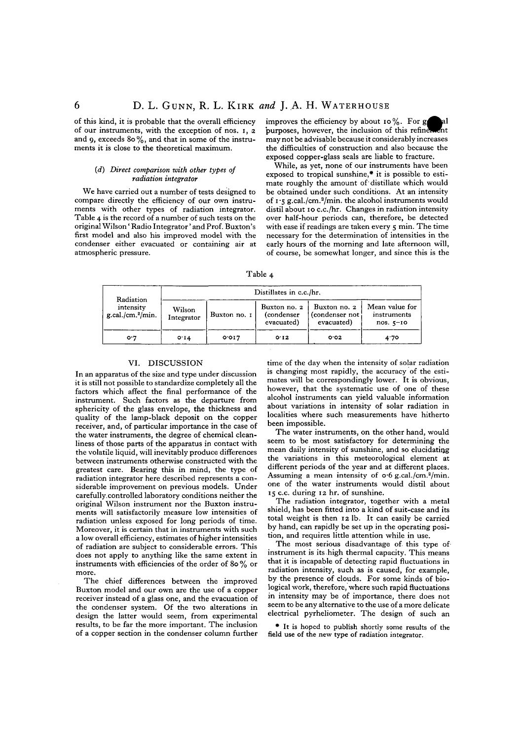of this kind, it is probable that the overall efficiency of our instruments, with the exception of nos. i, 2 and 9, exceeds 80 %, and that in some of the instru ments it is close to the theoretical maximum.

### *(d) Direct comparison with other types of radiation integrator*

We have carried out a number of tests designed to compare directly the efficiency of our own instru-<br>ments with other types of radiation integrator.<br>Table 4 is the record of a number of such tests on the original Wilson' Radio Integrator' and Prof. Buxton's first model and also his improved model with the condenser either evacuated or containing air at atmospheric pressure.

improves the efficiency by about 10%. For  $g$  all purposes, however, the inclusion of this refinement may not be advisable because it considerably increases the difficulties of construction and also because the exposed copper-glass seals are liable to fracture.

While, as yet, none of our instruments have been exposed to tropical sunshine,\* it is possible to esti- mate roughly the amount of'distillate which would be obtained under such conditions. At an intensity of 1-5 g.cal./cm.2 /min. the alcohol instruments would distil about 10 c.c./hr. Changes in radiation intensity over half-hour periods can, therefore, be detected with ease if readings are taken every 5 min. The time necessary for the determination of intensities in the early hours of the morning and late afternoon will, of course, be somewhat longer, and since this is the

Table 4

| Radiation<br>intensity<br>$g. cal./ cm.^2/min.$ | Distillates in c.c./hr. |              |                                          |                                               |                                              |  |  |  |  |  |
|-------------------------------------------------|-------------------------|--------------|------------------------------------------|-----------------------------------------------|----------------------------------------------|--|--|--|--|--|
|                                                 | Wilson<br>Integrator    | Buxton no. 1 | Buxton no. 2<br>(condenser<br>evacuated) | Buxton no. 2<br>(condenser not)<br>evacuated) | Mean value for<br>instruments<br>$nos. 5-10$ |  |  |  |  |  |
| 0.7                                             | O <sub>T</sub> 4        | 0.017        | 0.12                                     | O O 2                                         | 4.70                                         |  |  |  |  |  |

# VI. DISCUSSION

In an apparatus of the size and type under discussion it is still not possible to standardize completely all the factors which affect the final performance of the instrument. Such factors as the departure from sphericity of the glass envelope, the thickness and quality of the lamp-black deposit on the copper receiver, and, of particular importance in the case of the water instruments, the degree of chemical clean- liness of those parts of the apparatus in contact with the volatile liquid, will inevitably produce differences between instruments otherwise constructed with the greatest care. Bearing this in mind, the type of radiation integrator here described represents a con- siderable improvement on previous models. Under carefully, controlled laboratory conditions neither the original Wilson instrument nor the Buxton instru- ments will satisfactorily measure low intensities of radiation unless exposed for long periods of time. Moreover, it is certain that in instruments with such a low overall efficiency, estimates of higher intensities of radiation are subject to considerable errors. This does not apply to anything like the same extent in instruments with efficiencies of the order of 80 % or more.

The chief differences between the improved Buxton model and our own are the use of a copper receiver instead of a glass one, and the evacuation of the condenser system. Of the two alterations in design the latter would seem, from experimental results, to be far the more important. The inclusion of a copper section in the condenser column further

time of the day when the intensity of solar radiation is changing most rapidly, the accuracy of the esti- mates will be correspondingly lower. It is obvious, however, that the systematic use of one of these alcohol instruments can yield valuable information about variations in intensity of solar radiation in localities where such measurements have hitherto been impossible.

The water instruments, on the other hand, would seem to be most satisfactory for determining the mean daily intensity of sunshine, and so elucidating the variations in this meteorological element at different periods of the year and at different places. Assuming a mean intensity of  $\circ$  6 g.cal./cm.<sup>2</sup>/min. one of the water instruments would distil about 15 c.c. during 12 hr. of sunshine.

The radiation integrator, together with a metal shield, has been fitted into a kind of suit-case and its total weight is then 12 lb. It can easily be carried by hand, can rapidly be set up in the operating posi- tion, and requires little attention while in use.

The most serious disadvantage of this type of instrument is its high thermal capacity. This means that it is incapable of detecting rapid fluctuations in radiation intensity, such as is caused, for example, by the presence of clouds. For some kinds of bio- logical work, therefore, where such rapid fluctuations in intensity may be of importance, there does not seem to be any alternative to the use of a more delicate electrical pyrheliometer. The design of such an

• It is hoped to publish shortly some results of the field use of the new type of radiation integrator.